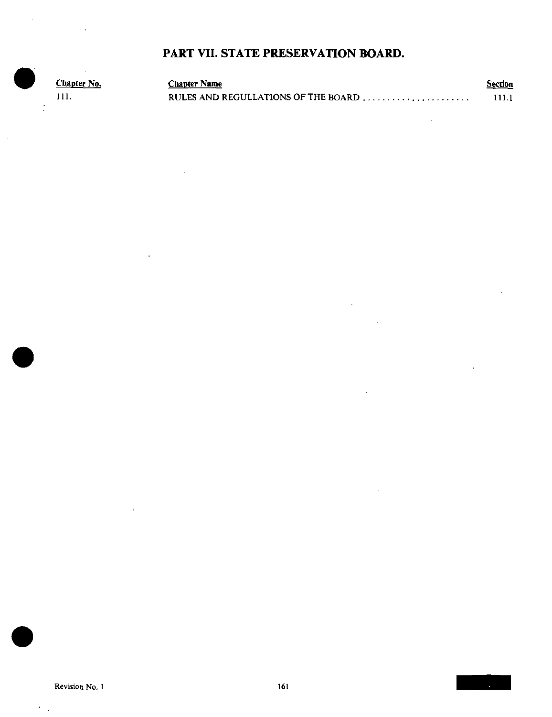# PART VII. STATE PRESERVATION BOARD,



Ĵ

| Chapter No. | Chapter Name                        | <b>Section</b> |
|-------------|-------------------------------------|----------------|
| 111.        | RULES AND REGULLATIONS OF THE BOARD | 111.1          |

 $\ddot{\phantom{a}}$  $\mathcal{L}_{\mathbf{r}}$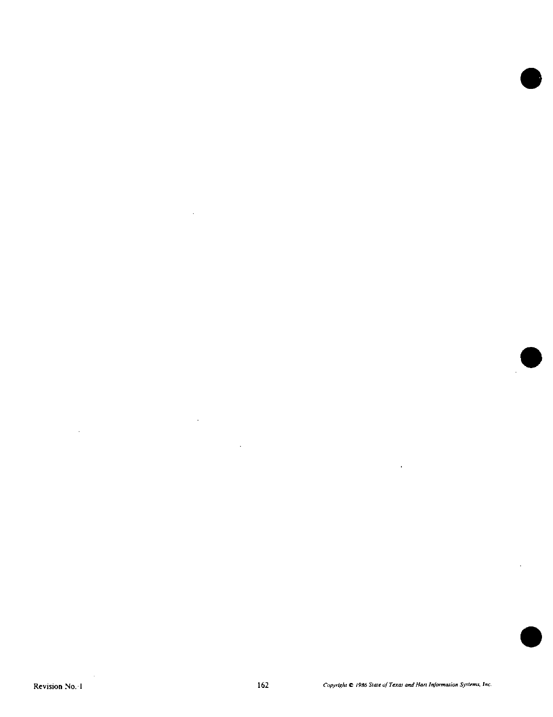J.

 $\overline{\phantom{a}}$ 

l.

 $\ddot{\phantom{a}}$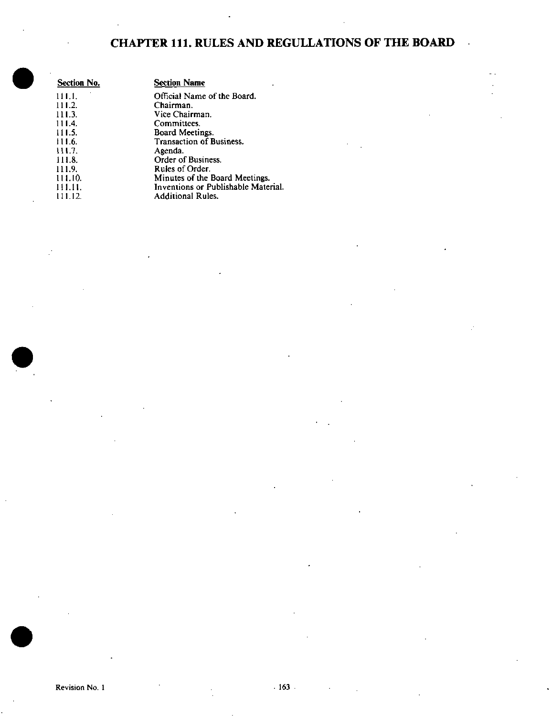## CHAPTER 111. RULES AND REGULLATIONS OF THE BOARD

 $\sim$ 

| Section No. | <b>Section Name</b>                 |
|-------------|-------------------------------------|
| 111.1.      | Official Name of the Board.         |
| 111.2.      | Chairman.                           |
| 111.3.      | Vice Chairman.                      |
| 111.4.      | Committees.                         |
| 111.5.      | Board Meetings.                     |
| 111.6.      | <b>Transaction of Business.</b>     |
| 111.7.      | Agenda.                             |
| 111.8.      | Order of Business.                  |
| 111.9.      | Rules of Order.                     |
| 111.10.     | Minutes of the Board Meetings.      |
| 111.11.     | Inventions or Publishable Material. |
| 111.12.     | Additional Rules.                   |
|             |                                     |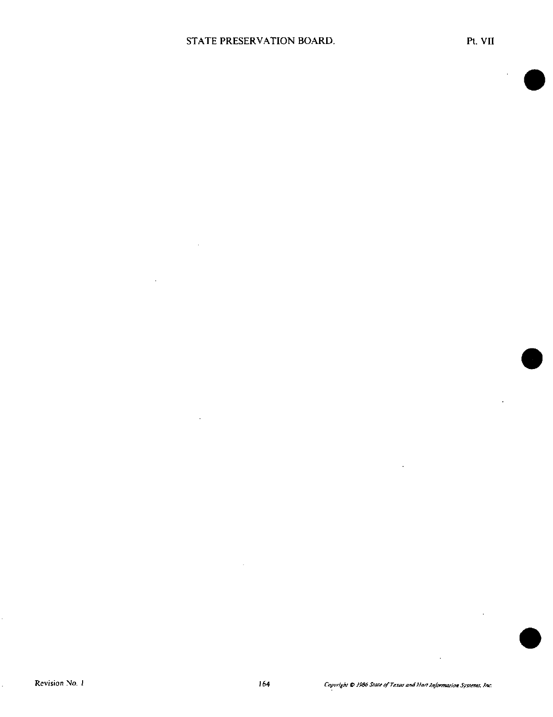$\bar{z}$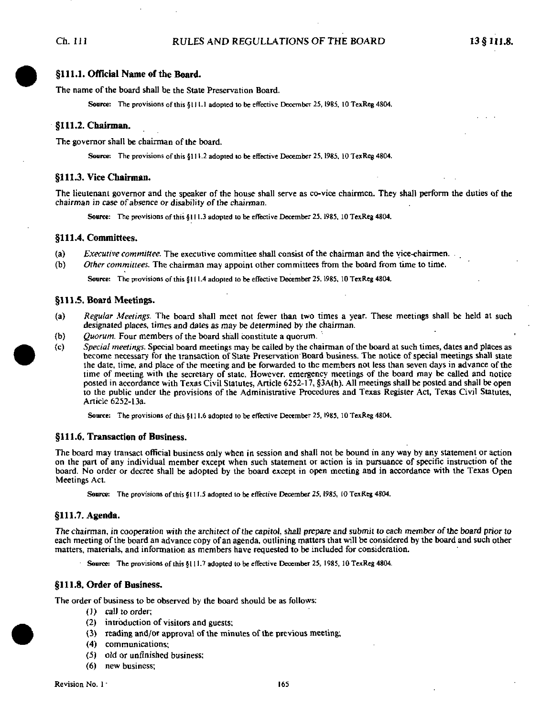## §111.1. Official Name of the Board.

The name of the board shall be the State Preservation Board.

Source: The provisions of this §111.1 adopted to be effective December 25, 1985, 10 TexReg 4804.

#### §111.2. Chairman.

The governor shall be chairman of the board.

Source: The provisions of this §111.2 adopted to be effective December 25, 1985, 10 TexReg 4804.

## §111.3. Vice Chairman.

The lieutenant governor and the speaker of the house shall serve as co-vice chairmen. They shall perform the duties of the chairman in case of absence or disability of the chairman.

Source: The provisions of this §111.3 adopted to be effective December 25.1985, 10 TexReg 4804.

#### §111.4. Committees.

- (a) Executive committee. The executive committee shall consist of the chairman and the vice-chairmen.
- (b) Other committees. The chairman may appoint other committees from the board from time to time.

Source: The provisions of this §111.4 adopted to be effective December 25.1985, 10 TexReg 4804.

#### §111.5. Board Meetings.

- (a) Regular Meetings. The board shall meet not fewer than two times a year. These meetings shall be held at such designated places, times and dates as may be determined by the chairman.
- (b)  $Quorum$ . Four members of the board shall constitute a quorum.
- (c) Special meetings. Special board meetings may be called by the chairman of the board at such times, dates and places as become necessary for the transaction of State Preservation Board business. The notice of special meetings shall slate the date, time, and place of the meeting and be forwarded to the members not less than seven days in advance of the time of meeting with ihe secretary of slate. However, emergency meetings of the board may be called and notice posted in accordance with Texas Civil Statutes. Article 6252-17, §3A(h). All meetings shall be posted and shall be open to the public under the provisions of the Administrative Procedures and Texas Register Act, Texas Civil Statutes, Article 6252-13a.

Source: The provisions of this §111.6 adopted to be effective December 25, 1985, 10 TexReg 4804.

### §111.6. Transaction of Business.

The board may transact official business only when in session and shall not be bound in any way by any statement or action on the part of any individual member except when such statement or action is in pursuance of specific instruction of the board. No order or decree shall be adopted by the board except in open meeting and in accordance with the Texas Open Meetings Act.

Source: The provisions ofthis §111.5 adopted to be effective December 25.1985, 10 TexReg 4804.

#### §111.7. Agenda.

The chairman, in cooperation with the architect of the capitol, shall prepare and submit to each member of the board prior to each meeting of the board an advance copy of an agenda, outlining matters that will be considered by the board and such other matters, materials, and information as members have requested to be included for consideration.

Source: The provisions of this  $\S111.7$  adopted to be effective December 25, 1985, 10 TexReg 4804.

## §111.8. Order of Business.

The order of business lo be observed by the board should be as follows;

- {]) call lo order;
- (2) introduction of visitors and guests;
- $(3)$  reading and/or approval of the minutes of the previous meeting;
- (4) communications;
- (5) old or unfinished business;
- (6) new business;